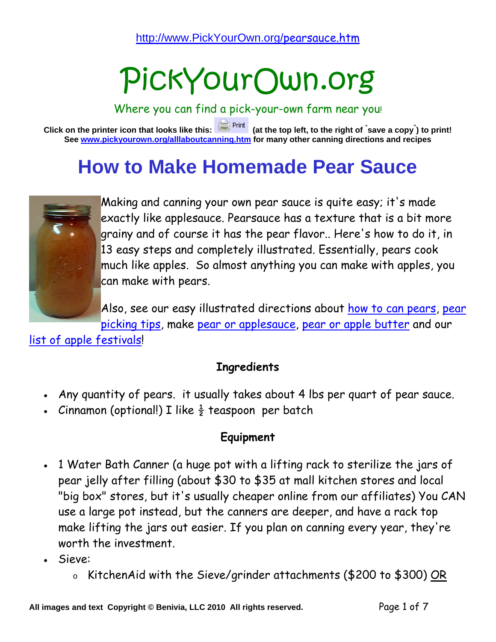# PickYourOwn.org

Where you can find a pick-your-own farm near you!

**Click on the printer icon that looks like this: (at the top left, to the right of " save a copy" ) to print! See www.pickyourown.org/alllaboutcanning.htm for many other canning directions and recipes** 

## **How to Make Homemade Pear Sauce**



Making and canning your own pear sauce is quite easy; it's made exactly like applesauce. Pearsauce has a texture that is a bit more grainy and of course it has the pear flavor.. Here's how to do it, in 13 easy steps and completely illustrated. Essentially, pears cook much like apples. So almost anything you can make with apples, you can make with pears.

Also, see our easy illustrated directions about how to can pears, pear picking tips, make pear or applesauce, pear or apple butter and our

list of apple festivals!

#### **Ingredients**

- Any quantity of pears. it usually takes about 4 lbs per quart of pear sauce.
- Cinnamon (optional!) I like  $\frac{1}{2}$  teaspoon per batch

#### **Equipment**

- 1 Water Bath Canner (a huge pot with a lifting rack to sterilize the jars of pear jelly after filling (about \$30 to \$35 at mall kitchen stores and local "big box" stores, but it's usually cheaper online from our affiliates) You CAN use a large pot instead, but the canners are deeper, and have a rack top make lifting the jars out easier. If you plan on canning every year, they're worth the investment.
- Sieve:
	- o KitchenAid with the Sieve/grinder attachments (\$200 to \$300) OR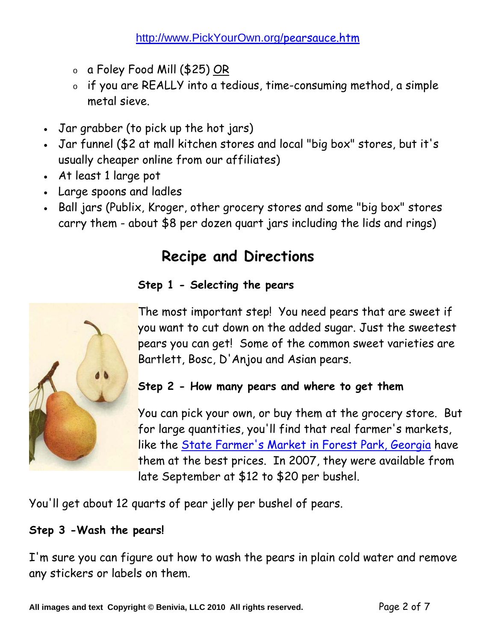- o a Foley Food Mill (\$25) <u>OR</u>
- o if you are REALLY into a tedious, time-consuming method, a simple metal sieve.
- Jar grabber (to pick up the hot jars)
- Jar funnel (\$2 at mall kitchen stores and local "big box" stores, but it's usually cheaper online from our affiliates)
- At least 1 large pot
- Large spoons and ladles
- Ball jars (Publix, Kroger, other grocery stores and some "big box" stores carry them - about \$8 per dozen quart jars including the lids and rings)

### **Recipe and Directions**

#### **Step 1 - Selecting the pears**



The most important step! You need pears that are sweet if you want to cut down on the added sugar. Just the sweetest pears you can get! Some of the common sweet varieties are Bartlett, Bosc, D'Anjou and Asian pears.

#### **Step 2 - How many pears and where to get them**

You can pick your own, or buy them at the grocery store. But for large quantities, you'll find that real farmer's markets, like the State Farmer's Market in Forest Park, Georgia have them at the best prices. In 2007, they were available from late September at \$12 to \$20 per bushel.

You'll get about 12 quarts of pear jelly per bushel of pears.

#### **Step 3 -Wash the pears!**

I'm sure you can figure out how to wash the pears in plain cold water and remove any stickers or labels on them.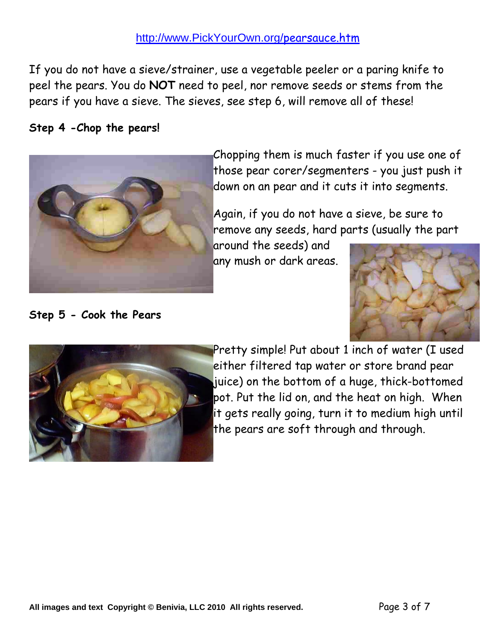#### http://www.PickYourOwn.org/pearsauce.htm

If you do not have a sieve/strainer, use a vegetable peeler or a paring knife to peel the pears. You do **NOT** need to peel, nor remove seeds or stems from the pears if you have a sieve. The sieves, see step 6, will remove all of these!

 $\overline{\phantom{a}}$ 

#### **Step 4 -Chop the pears!**

**Step 5 - Cook the Pears** 



Chopping them is much faster if you use one of those pear corer/segmenters - you just push it down on an pear and it cuts it into segments.

Again, if you do not have a sieve, be sure to remove any seeds, hard parts (usually the part

around the seeds) and any mush or dark areas.





Pretty simple! Put about 1 inch of water (I used either filtered tap water or store brand pear juice) on the bottom of a huge, thick-bottomed pot. Put the lid on, and the heat on high. When it gets really going, turn it to medium high until the pears are soft through and through.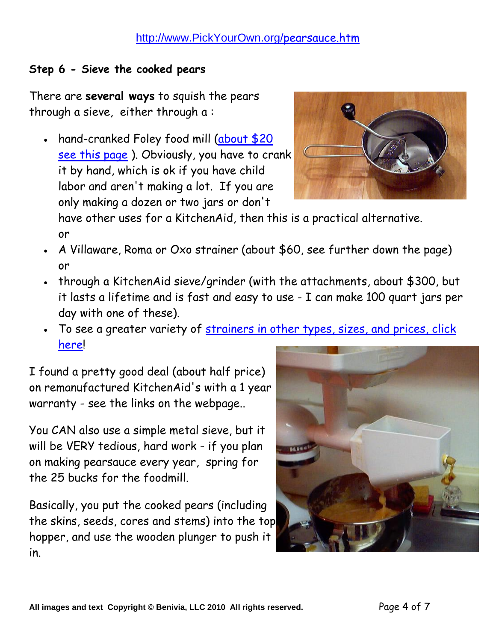#### **Step 6 - Sieve the cooked pears**

There are **several ways** to squish the pears through a sieve, either through a :

• hand-cranked Foley food mill (about \$20 see this page). Obviously, you have to crank it by hand, which is ok if you have child labor and aren't making a lot. If you are only making a dozen or two jars or don't

have other uses for a KitchenAid, then this is a practical alternative. or

- A Villaware, Roma or Oxo strainer (about \$60, see further down the page) or
- through a KitchenAid sieve/grinder (with the attachments, about \$300, but it lasts a lifetime and is fast and easy to use - I can make 100 quart jars per day with one of these).
- To see a greater variety of strainers in other types, sizes, and prices, click here!

I found a pretty good deal (about half price) on remanufactured KitchenAid's with a 1 year warranty - see the links on the webpage..

You CAN also use a simple metal sieve, but it will be VERY tedious, hard work - if you plan on making pearsauce every year, spring for the 25 bucks for the foodmill.

Basically, you put the cooked pears (including the skins, seeds, cores and stems) into the top hopper, and use the wooden plunger to push it in.



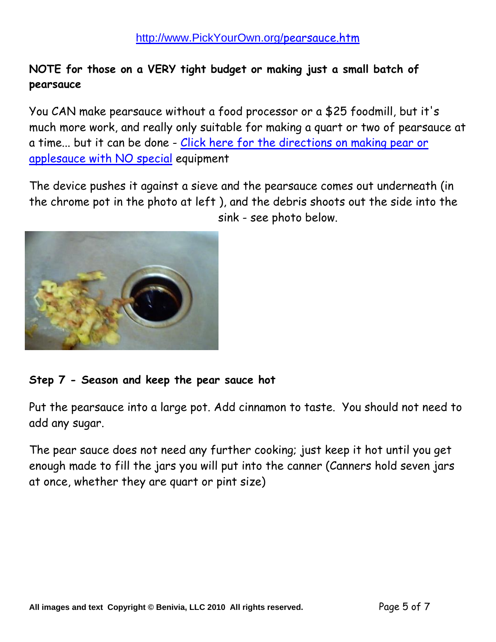#### **NOTE for those on a VERY tight budget or making just a small batch of pearsauce**

You CAN make pearsauce without a food processor or a \$25 foodmill, but it's much more work, and really only suitable for making a quart or two of pearsauce at a time... but it can be done - Click here for the directions on making pear or applesauce with NO special equipment

The device pushes it against a sieve and the pearsauce comes out underneath (in the chrome pot in the photo at left ), and the debris shoots out the side into the sink - see photo below.



#### **Step 7 - Season and keep the pear sauce hot**

Put the pearsauce into a large pot. Add cinnamon to taste. You should not need to add any sugar.

The pear sauce does not need any further cooking; just keep it hot until you get enough made to fill the jars you will put into the canner (Canners hold seven jars at once, whether they are quart or pint size)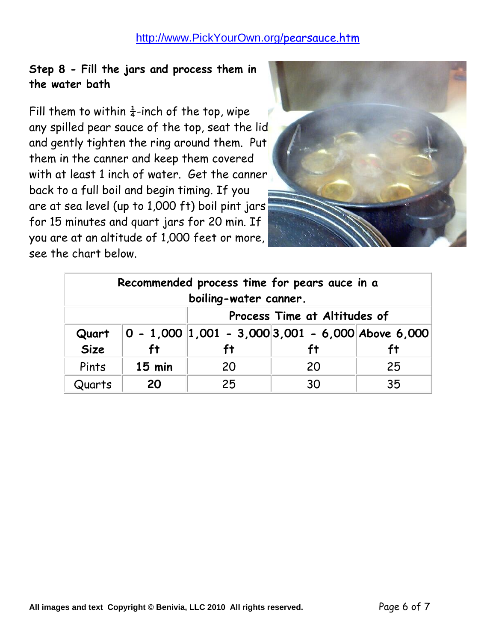#### http://www.PickYourOwn.org/pearsauce.htm

#### **Step 8 - Fill the jars and process them in the water bath**

Fill them to within  $\frac{1}{4}$ -inch of the top, wipe any spilled pear sauce of the top, seat the lid and gently tighten the ring around them. Put them in the canner and keep them covered with at least 1 inch of water. Get the canner back to a full boil and begin timing. If you are at sea level (up to 1,000 ft) boil pint jars for 15 minutes and quart jars for 20 min. If you are at an altitude of 1,000 feet or more, see the chart below.



| Recommended process time for pears auce in a<br>boiling-water canner. |          |                              |                                                       |    |
|-----------------------------------------------------------------------|----------|------------------------------|-------------------------------------------------------|----|
|                                                                       |          | Process Time at Altitudes of |                                                       |    |
| Quart                                                                 |          |                              | $ 0 - 1,000 1,001 - 3,000 3,001 - 6,000 $ Above 6,000 |    |
| <b>Size</b>                                                           | ft.      |                              | ft                                                    | ft |
| Pints                                                                 | $15$ min | 20                           | 20                                                    | 25 |
| Quarts                                                                | 20       | 25                           | 30                                                    | 35 |